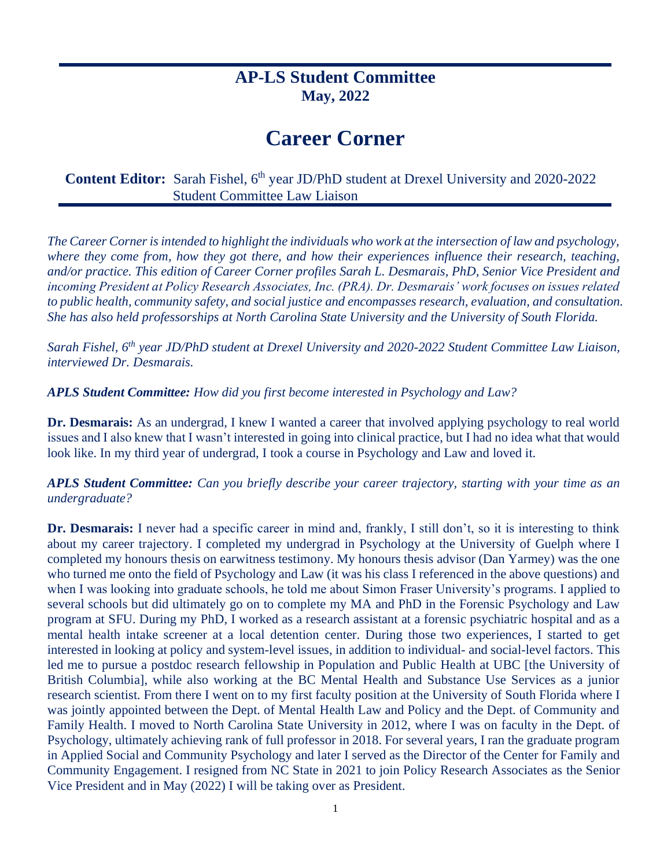# **AP-LS Student Committee May, 2022**

# **Career Corner**

**Content Editor:** Sarah Fishel, 6<sup>th</sup> year JD/PhD student at Drexel University and 2020-2022 Student Committee Law Liaison

*The Career Corner is intended to highlight the individuals who work at the intersection of law and psychology, where they come from, how they got there, and how their experiences influence their research, teaching, and/or practice. This edition of Career Corner profiles Sarah L. Desmarais, PhD, Senior Vice President and incoming President at Policy Research Associates, Inc. (PRA). Dr. Desmarais' work focuses on issues related*  to public health, community safety, and social justice and encompasses research, evaluation, and consultation. *She has also held professorships at North Carolina State University and the University of South Florida.* 

*Sarah Fishel, 6th year JD/PhD student at Drexel University and 2020-2022 Student Committee Law Liaison, interviewed Dr. Desmarais.*

*APLS Student Committee: How did you first become interested in Psychology and Law?*

**Dr. Desmarais:** As an undergrad, I knew I wanted a career that involved applying psychology to real world issues and I also knew that I wasn't interested in going into clinical practice, but I had no idea what that would look like. In my third year of undergrad, I took a course in Psychology and Law and loved it.

*APLS Student Committee: Can you briefly describe your career trajectory, starting with your time as an undergraduate?* 

**Dr. Desmarais:** I never had a specific career in mind and, frankly, I still don't, so it is interesting to think about my career trajectory. I completed my undergrad in Psychology at the University of Guelph where I completed my honours thesis on earwitness testimony. My honours thesis advisor (Dan Yarmey) was the one who turned me onto the field of Psychology and Law (it was his class I referenced in the above questions) and when I was looking into graduate schools, he told me about Simon Fraser University's programs. I applied to several schools but did ultimately go on to complete my MA and PhD in the Forensic Psychology and Law program at SFU. During my PhD, I worked as a research assistant at a forensic psychiatric hospital and as a mental health intake screener at a local detention center. During those two experiences, I started to get interested in looking at policy and system-level issues, in addition to individual- and social-level factors. This led me to pursue a postdoc research fellowship in Population and Public Health at UBC [the University of British Columbia], while also working at the BC Mental Health and Substance Use Services as a junior research scientist. From there I went on to my first faculty position at the University of South Florida where I was jointly appointed between the Dept. of Mental Health Law and Policy and the Dept. of Community and Family Health. I moved to North Carolina State University in 2012, where I was on faculty in the Dept. of Psychology, ultimately achieving rank of full professor in 2018. For several years, I ran the graduate program in Applied Social and Community Psychology and later I served as the Director of the Center for Family and Community Engagement. I resigned from NC State in 2021 to join Policy Research Associates as the Senior Vice President and in May (2022) I will be taking over as President.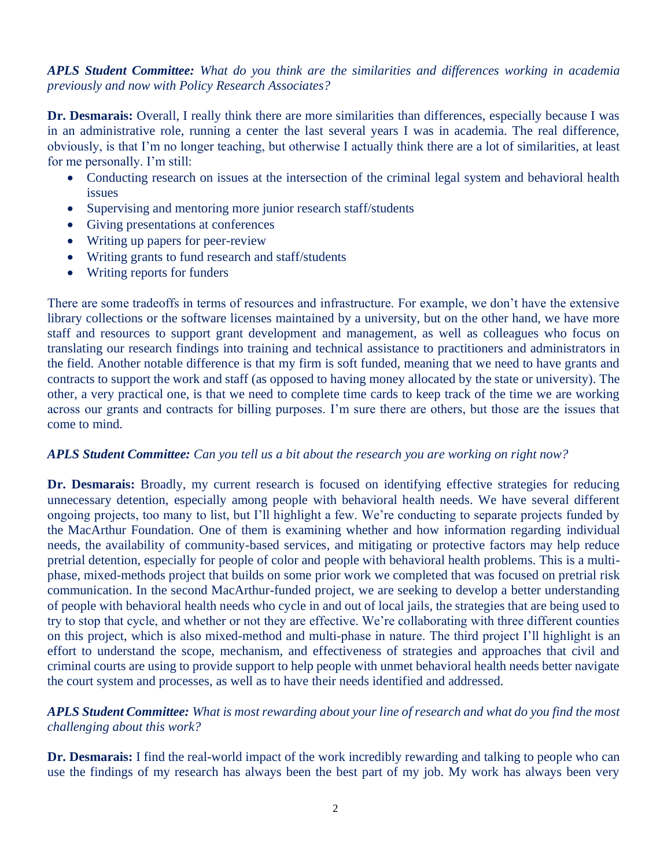#### *APLS Student Committee: What do you think are the similarities and differences working in academia previously and now with Policy Research Associates?*

**Dr. Desmarais:** Overall, I really think there are more similarities than differences, especially because I was in an administrative role, running a center the last several years I was in academia. The real difference, obviously, is that I'm no longer teaching, but otherwise I actually think there are a lot of similarities, at least for me personally. I'm still:

- Conducting research on issues at the intersection of the criminal legal system and behavioral health issues
- Supervising and mentoring more junior research staff/students
- Giving presentations at conferences
- Writing up papers for peer-review
- Writing grants to fund research and staff/students
- Writing reports for funders

There are some tradeoffs in terms of resources and infrastructure. For example, we don't have the extensive library collections or the software licenses maintained by a university, but on the other hand, we have more staff and resources to support grant development and management, as well as colleagues who focus on translating our research findings into training and technical assistance to practitioners and administrators in the field. Another notable difference is that my firm is soft funded, meaning that we need to have grants and contracts to support the work and staff (as opposed to having money allocated by the state or university). The other, a very practical one, is that we need to complete time cards to keep track of the time we are working across our grants and contracts for billing purposes. I'm sure there are others, but those are the issues that come to mind.

#### *APLS Student Committee: Can you tell us a bit about the research you are working on right now?*

Dr. Desmarais: Broadly, my current research is focused on identifying effective strategies for reducing unnecessary detention, especially among people with behavioral health needs. We have several different ongoing projects, too many to list, but I'll highlight a few. We're conducting to separate projects funded by the MacArthur Foundation. One of them is examining whether and how information regarding individual needs, the availability of community-based services, and mitigating or protective factors may help reduce pretrial detention, especially for people of color and people with behavioral health problems. This is a multiphase, mixed-methods project that builds on some prior work we completed that was focused on pretrial risk communication. In the second MacArthur-funded project, we are seeking to develop a better understanding of people with behavioral health needs who cycle in and out of local jails, the strategies that are being used to try to stop that cycle, and whether or not they are effective. We're collaborating with three different counties on this project, which is also mixed-method and multi-phase in nature. The third project I'll highlight is an effort to understand the scope, mechanism, and effectiveness of strategies and approaches that civil and criminal courts are using to provide support to help people with unmet behavioral health needs better navigate the court system and processes, as well as to have their needs identified and addressed.

#### *APLS Student Committee: What is most rewarding about your line of research and what do you find the most challenging about this work?*

**Dr. Desmarais:** I find the real-world impact of the work incredibly rewarding and talking to people who can use the findings of my research has always been the best part of my job. My work has always been very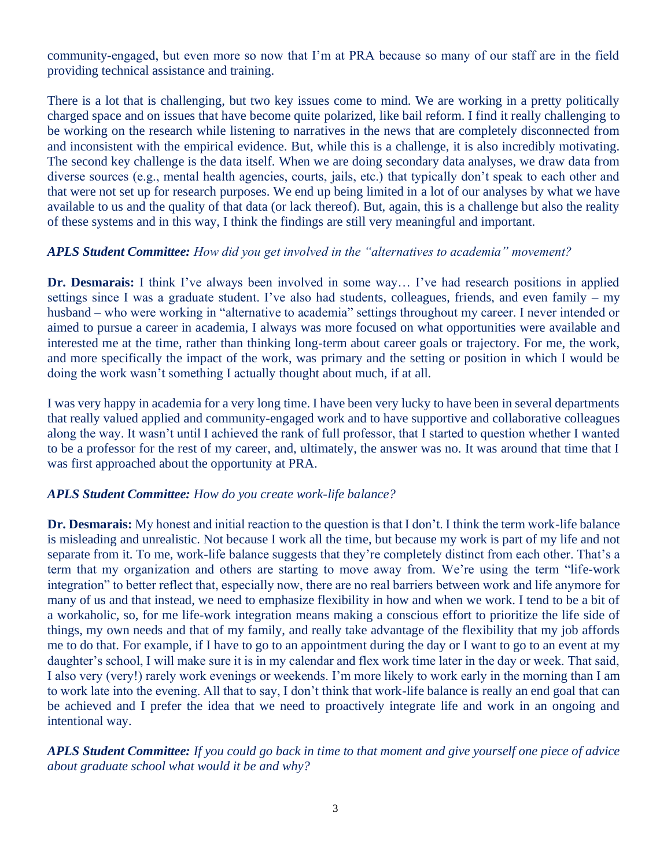community-engaged, but even more so now that I'm at PRA because so many of our staff are in the field providing technical assistance and training.

There is a lot that is challenging, but two key issues come to mind. We are working in a pretty politically charged space and on issues that have become quite polarized, like bail reform. I find it really challenging to be working on the research while listening to narratives in the news that are completely disconnected from and inconsistent with the empirical evidence. But, while this is a challenge, it is also incredibly motivating. The second key challenge is the data itself. When we are doing secondary data analyses, we draw data from diverse sources (e.g., mental health agencies, courts, jails, etc.) that typically don't speak to each other and that were not set up for research purposes. We end up being limited in a lot of our analyses by what we have available to us and the quality of that data (or lack thereof). But, again, this is a challenge but also the reality of these systems and in this way, I think the findings are still very meaningful and important.

#### *APLS Student Committee: How did you get involved in the "alternatives to academia" movement?*

**Dr. Desmarais:** I think I've always been involved in some way… I've had research positions in applied settings since I was a graduate student. I've also had students, colleagues, friends, and even family – my husband – who were working in "alternative to academia" settings throughout my career. I never intended or aimed to pursue a career in academia, I always was more focused on what opportunities were available and interested me at the time, rather than thinking long-term about career goals or trajectory. For me, the work, and more specifically the impact of the work, was primary and the setting or position in which I would be doing the work wasn't something I actually thought about much, if at all.

I was very happy in academia for a very long time. I have been very lucky to have been in several departments that really valued applied and community-engaged work and to have supportive and collaborative colleagues along the way. It wasn't until I achieved the rank of full professor, that I started to question whether I wanted to be a professor for the rest of my career, and, ultimately, the answer was no. It was around that time that I was first approached about the opportunity at PRA.

## *APLS Student Committee: How do you create work-life balance?*

**Dr. Desmarais:** My honest and initial reaction to the question is that I don't. I think the term work-life balance is misleading and unrealistic. Not because I work all the time, but because my work is part of my life and not separate from it. To me, work-life balance suggests that they're completely distinct from each other. That's a term that my organization and others are starting to move away from. We're using the term "life-work integration" to better reflect that, especially now, there are no real barriers between work and life anymore for many of us and that instead, we need to emphasize flexibility in how and when we work. I tend to be a bit of a workaholic, so, for me life-work integration means making a conscious effort to prioritize the life side of things, my own needs and that of my family, and really take advantage of the flexibility that my job affords me to do that. For example, if I have to go to an appointment during the day or I want to go to an event at my daughter's school, I will make sure it is in my calendar and flex work time later in the day or week. That said, I also very (very!) rarely work evenings or weekends. I'm more likely to work early in the morning than I am to work late into the evening. All that to say, I don't think that work-life balance is really an end goal that can be achieved and I prefer the idea that we need to proactively integrate life and work in an ongoing and intentional way.

*APLS Student Committee: If you could go back in time to that moment and give yourself one piece of advice about graduate school what would it be and why?*